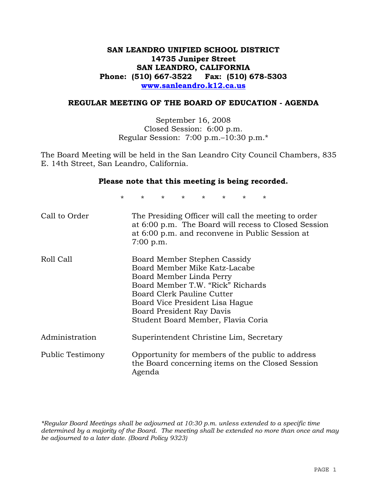# **SAN LEANDRO UNIFIED SCHOOL DISTRICT 14735 Juniper Street SAN LEANDRO, CALIFORNIA Phone: (510) 667-3522 Fax: (510) 678-5303 www.sanleandro.k12.ca.us**

# **REGULAR MEETING OF THE BOARD OF EDUCATION - AGENDA**

September 16, 2008 Closed Session: 6:00 p.m. Regular Session: 7:00 p.m.–10:30 p.m.\*

The Board Meeting will be held in the San Leandro City Council Chambers, 835 E. 14th Street, San Leandro, California.

#### **Please note that this meeting is being recorded.**

\* \* \* \* \* \* \* \*

| Call to Order    | The Presiding Officer will call the meeting to order<br>at 6:00 p.m. The Board will recess to Closed Session<br>at 6:00 p.m. and reconvene in Public Session at<br>$7:00$ p.m.                                                                                     |
|------------------|--------------------------------------------------------------------------------------------------------------------------------------------------------------------------------------------------------------------------------------------------------------------|
| Roll Call        | Board Member Stephen Cassidy<br>Board Member Mike Katz-Lacabe<br>Board Member Linda Perry<br>Board Member T.W. "Rick" Richards<br>Board Clerk Pauline Cutter<br>Board Vice President Lisa Hague<br>Board President Ray Davis<br>Student Board Member, Flavia Coria |
| Administration   | Superintendent Christine Lim, Secretary                                                                                                                                                                                                                            |
| Public Testimony | Opportunity for members of the public to address<br>the Board concerning items on the Closed Session<br>Agenda                                                                                                                                                     |

*\*Regular Board Meetings shall be adjourned at 10:30 p.m. unless extended to a specific time determined by a majority of the Board. The meeting shall be extended no more than once and may be adjourned to a later date. (Board Policy 9323)*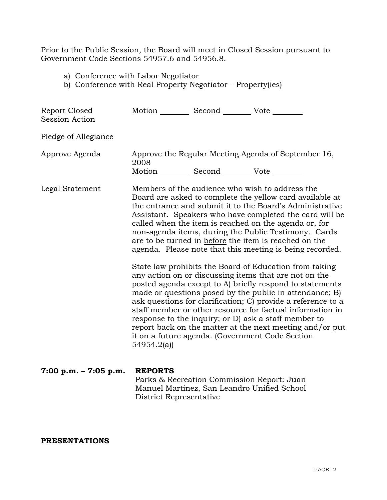Prior to the Public Session, the Board will meet in Closed Session pursuant to Government Code Sections 54957.6 and 54956.8.

- a) Conference with Labor Negotiator
- b) Conference with Real Property Negotiator Property(ies)

| Report Closed<br><b>Session Action</b> | Motion __________ Second __________ Vote ________                                                                                                                                                                                                                                                                                                                                                                                                                                                                                                        |                                                                                           |                                                     |
|----------------------------------------|----------------------------------------------------------------------------------------------------------------------------------------------------------------------------------------------------------------------------------------------------------------------------------------------------------------------------------------------------------------------------------------------------------------------------------------------------------------------------------------------------------------------------------------------------------|-------------------------------------------------------------------------------------------|-----------------------------------------------------|
| Pledge of Allegiance                   |                                                                                                                                                                                                                                                                                                                                                                                                                                                                                                                                                          |                                                                                           |                                                     |
| Approve Agenda                         | 2008<br>Motion __________ Second __________ Vote ________                                                                                                                                                                                                                                                                                                                                                                                                                                                                                                |                                                                                           | Approve the Regular Meeting Agenda of September 16, |
| Legal Statement                        | Members of the audience who wish to address the<br>Board are asked to complete the yellow card available at<br>the entrance and submit it to the Board's Administrative<br>Assistant. Speakers who have completed the card will be<br>called when the item is reached on the agenda or, for<br>non-agenda items, during the Public Testimony. Cards<br>are to be turned in before the item is reached on the<br>agenda. Please note that this meeting is being recorded.                                                                                 |                                                                                           |                                                     |
|                                        | State law prohibits the Board of Education from taking<br>any action on or discussing items that are not on the<br>posted agenda except to A) briefly respond to statements<br>made or questions posed by the public in attendance; B)<br>ask questions for clarification; C) provide a reference to a<br>staff member or other resource for factual information in<br>response to the inquiry; or D) ask a staff member to<br>report back on the matter at the next meeting and/or put<br>it on a future agenda. (Government Code Section<br>54954.2(a) |                                                                                           |                                                     |
| $7:00 p.m. - 7:05 p.m.$                | <b>REPORTS</b><br>District Representative                                                                                                                                                                                                                                                                                                                                                                                                                                                                                                                | Parks & Recreation Commission Report: Juan<br>Manuel Martinez, San Leandro Unified School |                                                     |

**PRESENTATIONS**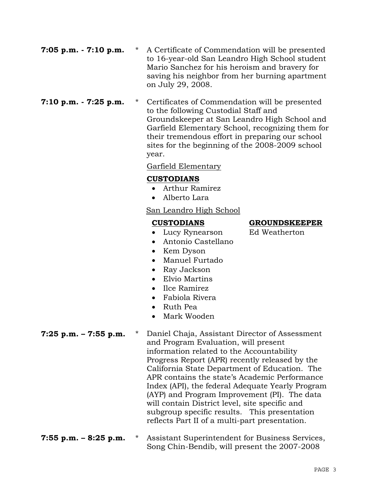- **7:05 p.m. 7:10 p.m.** \* A Certificate of Commendation will be presented to 16-year-old San Leandro High School student Mario Sanchez for his heroism and bravery for saving his neighbor from her burning apartment on July 29, 2008.
- **7:10 p.m. 7:25 p.m.** \* Certificates of Commendation will be presented to the following Custodial Staff and Groundskeeper at San Leandro High School and Garfield Elementary School, recognizing them for their tremendous effort in preparing our school sites for the beginning of the 2008-2009 school year.

# Garfield Elementary

# **CUSTODIANS**

- Arthur Ramirez
- Alberto Lara

# San Leandro High School

- Lucy Rynearson Ed Weatherton
- Antonio Castellano
- Kem Dyson
- Manuel Furtado
- Ray Jackson
- Elvio Martins
- Ilce Ramirez
- Fabiola Rivera
- Ruth Pea
- Mark Wooden

- **7:25 p.m. 7:55 p.m.** \* Daniel Chaja, Assistant Director of Assessment and Program Evaluation, will present information related to the Accountability Progress Report (APR) recently released by the California State Department of Education. The APR contains the state's Academic Performance Index (API), the federal Adequate Yearly Program (AYP) and Program Improvement (PI). The data will contain District level, site specific and subgroup specific results. This presentation reflects Part II of a multi-part presentation.
- **7:55 p.m. 8:25 p.m.** \* Assistant Superintendent for Business Services, Song Chin-Bendib, will present the 2007-2008

### **CUSTODIANS GROUNDSKEEPER**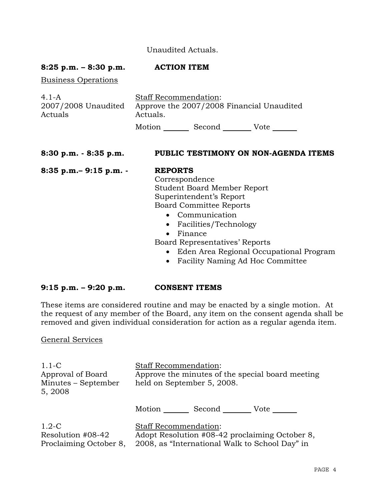# Unaudited Actuals.

# **8:25 p.m. – 8:30 p.m. ACTION ITEM**

Business Operations

| $4.1 - A$                      | <b>Staff Recommendation:</b> |        |                                           |
|--------------------------------|------------------------------|--------|-------------------------------------------|
| 2007/2008 Unaudited<br>Actuals | Actuals.                     |        | Approve the 2007/2008 Financial Unaudited |
|                                | Motion                       | Second | Vote                                      |

### **8:30 p.m. - 8:35 p.m. PUBLIC TESTIMONY ON NON-AGENDA ITEMS**

**8:35 p.m.– 9:15 p.m. - REPORTS**

 Correspondence Student Board Member Report Superintendent's Report Board Committee Reports

- Communication
- Facilities/Technology
- Finance

Board Representatives' Reports

- Eden Area Regional Occupational Program
- Facility Naming Ad Hoc Committee

# **9:15 p.m. – 9:20 p.m. CONSENT ITEMS**

These items are considered routine and may be enacted by a single motion. At the request of any member of the Board, any item on the consent agenda shall be removed and given individual consideration for action as a regular agenda item.

# General Services

| $1.1-C$<br>Approval of Board<br>Minutes – September<br>5, 2008 | <b>Staff Recommendation:</b><br>Approve the minutes of the special board meeting<br>held on September 5, 2008.                   |  |  |
|----------------------------------------------------------------|----------------------------------------------------------------------------------------------------------------------------------|--|--|
|                                                                | Second<br>Motion<br>Vote                                                                                                         |  |  |
| $1.2-C$<br>Resolution #08-42<br>Proclaiming October 8,         | <b>Staff Recommendation:</b><br>Adopt Resolution #08-42 proclaiming October 8,<br>2008, as "International Walk to School Day" in |  |  |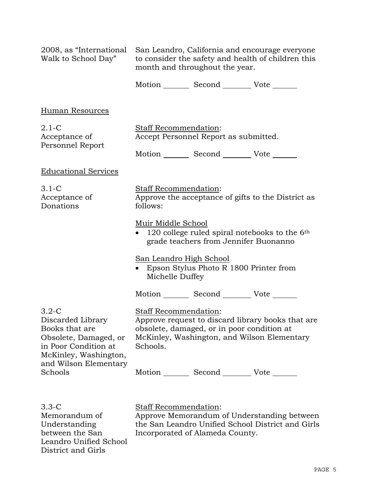| 2008, as "International<br>Walk to School Day"                                                                             | San Leandro, California and encourage everyone<br>to consider the safety and health of children this<br>month and throughout the year.                                                     |  |  |
|----------------------------------------------------------------------------------------------------------------------------|--------------------------------------------------------------------------------------------------------------------------------------------------------------------------------------------|--|--|
|                                                                                                                            | Motion _________ Second __________ Vote _______                                                                                                                                            |  |  |
| Human Resources                                                                                                            |                                                                                                                                                                                            |  |  |
| $2.1-C$<br>Acceptance of<br>Personnel Report                                                                               | Staff Recommendation:<br>Accept Personnel Report as submitted.<br>Motion _________ Second ___________ Vote _______                                                                         |  |  |
| <b>Educational Services</b>                                                                                                |                                                                                                                                                                                            |  |  |
| $3.1-C$<br>Acceptance of<br>Donations                                                                                      | Staff Recommendation:<br>Approve the acceptance of gifts to the District as<br>follows:                                                                                                    |  |  |
|                                                                                                                            | Muir Middle School<br>120 college ruled spiral notebooks to the $6th$<br>grade teachers from Jennifer Buonanno                                                                             |  |  |
|                                                                                                                            | <b>San Leandro High School</b><br>Epson Stylus Photo R 1800 Printer from<br>Michelle Duffey                                                                                                |  |  |
|                                                                                                                            | Motion _________ Second __________ Vote _______                                                                                                                                            |  |  |
| $3.2 - C$<br>Discarded Library<br>Books that are<br>Obsolete, Damaged, or<br>in Poor Condition at<br>McKinley, Washington, | <b>Staff Recommendation:</b><br>Approve request to discard library books that are<br>obsolete, damaged, or in poor condition at<br>McKinley, Washington, and Wilson Elementary<br>Schools. |  |  |
| and Wilson Elementary<br>Schools                                                                                           | Motion _________ Second __________ Vote _______                                                                                                                                            |  |  |
|                                                                                                                            |                                                                                                                                                                                            |  |  |

3.3-C Memorandum of Understanding between the San Leandro Unified School District and Girls

Staff Recommendation: Approve Memorandum of Understanding between the San Leandro Unified School District and Girls Incorporated of Alameda County.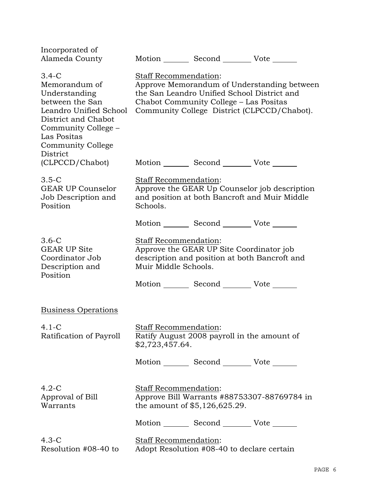| Incorporated of<br>Alameda County                                                                                                                                                           |                                                      | Motion _________ Second __________ Vote _______                                           |                                                                                                |
|---------------------------------------------------------------------------------------------------------------------------------------------------------------------------------------------|------------------------------------------------------|-------------------------------------------------------------------------------------------|------------------------------------------------------------------------------------------------|
| $3.4-C$<br>Memorandum of<br>Understanding<br>between the San<br>Leandro Unified School<br>District and Chabot<br>Community College –<br>Las Positas<br><b>Community College</b><br>District | Staff Recommendation:                                | the San Leandro Unified School District and<br>Chabot Community College – Las Positas     | Approve Memorandum of Understanding between<br>Community College District (CLPCCD/Chabot).     |
| (CLPCCD/Chabot)                                                                                                                                                                             |                                                      | Motion _________ Second __________ Vote _______                                           |                                                                                                |
| $3.5-C$<br><b>GEAR UP Counselor</b><br>Job Description and<br>Position                                                                                                                      | Staff Recommendation:<br>Schools.                    |                                                                                           | Approve the GEAR Up Counselor job description<br>and position at both Bancroft and Muir Middle |
|                                                                                                                                                                                             |                                                      | Motion _________ Second __________ Vote _______                                           |                                                                                                |
| $3.6-C$<br><b>GEAR UP Site</b><br>Coordinator Job<br>Description and<br>Position                                                                                                            | <b>Staff Recommendation:</b><br>Muir Middle Schools. | Approve the GEAR UP Site Coordinator job<br>description and position at both Bancroft and |                                                                                                |
|                                                                                                                                                                                             |                                                      | Motion _________ Second __________ Vote _______                                           |                                                                                                |
| <b>Business Operations</b>                                                                                                                                                                  |                                                      |                                                                                           |                                                                                                |
| $4.1 - C$<br>Ratification of Payroll                                                                                                                                                        | <b>Staff Recommendation:</b><br>\$2,723,457.64.      | Ratify August 2008 payroll in the amount of                                               |                                                                                                |
|                                                                                                                                                                                             |                                                      | Motion _________ Second __________ Vote _______                                           |                                                                                                |
| $4.2-C$<br>Approval of Bill<br>Warrants                                                                                                                                                     | Staff Recommendation:                                | the amount of \$5,126,625.29.                                                             | Approve Bill Warrants #88753307-88769784 in                                                    |
|                                                                                                                                                                                             |                                                      | Motion Second Vote                                                                        |                                                                                                |
| $4.3-C$<br>Resolution #08-40 to                                                                                                                                                             | Staff Recommendation:                                | Adopt Resolution #08-40 to declare certain                                                |                                                                                                |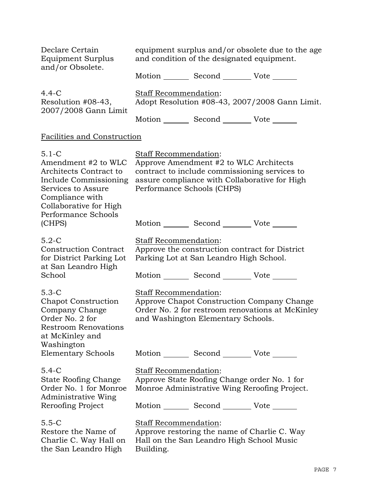| Declare Certain<br><b>Equipment Surplus</b>                                                                                                                             | equipment surplus and/or obsolete due to the age<br>and condition of the designated equipment. |                                                                                                                                                  |                                                                                                |  |
|-------------------------------------------------------------------------------------------------------------------------------------------------------------------------|------------------------------------------------------------------------------------------------|--------------------------------------------------------------------------------------------------------------------------------------------------|------------------------------------------------------------------------------------------------|--|
| and/or Obsolete.                                                                                                                                                        |                                                                                                | Motion _________ Second __________ Vote _______                                                                                                  |                                                                                                |  |
| $4.4-C$<br>Resolution #08-43,<br>2007/2008 Gann Limit                                                                                                                   | <b>Staff Recommendation:</b><br>Adopt Resolution #08-43, 2007/2008 Gann Limit.                 |                                                                                                                                                  |                                                                                                |  |
|                                                                                                                                                                         |                                                                                                | Motion _________ Second __________ Vote _______                                                                                                  |                                                                                                |  |
| <b>Facilities and Construction</b>                                                                                                                                      |                                                                                                |                                                                                                                                                  |                                                                                                |  |
| $5.1 - C$<br>Amendment #2 to WLC<br>Architects Contract to<br>Include Commissioning<br>Services to Assure<br>Compliance with<br>Collaborative for High                  | Staff Recommendation:<br>Performance Schools (CHPS)                                            | Approve Amendment #2 to WLC Architects<br>contract to include commissioning services to<br>assure compliance with Collaborative for High         |                                                                                                |  |
| Performance Schools<br>(CHPS)                                                                                                                                           |                                                                                                | Motion _________ Second __________ Vote _______                                                                                                  |                                                                                                |  |
| $5.2-C$<br><b>Construction Contract</b><br>for District Parking Lot<br>at San Leandro High<br>School                                                                    | <b>Staff Recommendation:</b>                                                                   | Approve the construction contract for District<br>Parking Lot at San Leandro High School.<br>Motion _________ Second __________ Vote _______     |                                                                                                |  |
| $5.3-C$<br><b>Chapot Construction</b><br>Company Change<br>Order No. 2 for<br><b>Restroom Renovations</b><br>at McKinley and<br>Washington<br><b>Elementary Schools</b> | Staff Recommendation:                                                                          | and Washington Elementary Schools.<br>Motion Second Vote                                                                                         | Approve Chapot Construction Company Change<br>Order No. 2 for restroom renovations at McKinley |  |
| $5.4 - C$<br><b>State Roofing Change</b><br>Order No. 1 for Monroe<br>Administrative Wing<br>Reroofing Project                                                          | Staff Recommendation:                                                                          | Approve State Roofing Change order No. 1 for<br>Monroe Administrative Wing Reroofing Project.<br>Motion _________ Second __________ Vote _______ |                                                                                                |  |
| $5.5 - C$<br>Restore the Name of<br>Charlie C. Way Hall on<br>the San Leandro High                                                                                      | <b>Staff Recommendation:</b><br>Building.                                                      | Approve restoring the name of Charlie C. Way<br>Hall on the San Leandro High School Music                                                        |                                                                                                |  |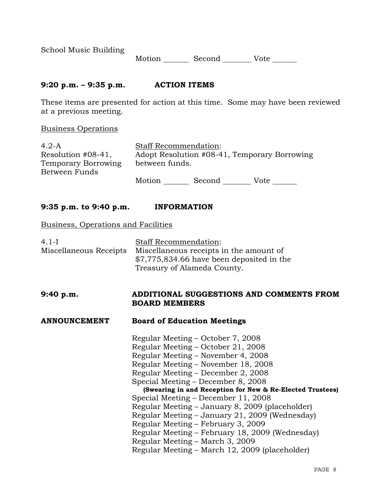School Music Building

Motion Second Vote \_\_\_\_\_\_

# **9:20 p.m. – 9:35 p.m. ACTION ITEMS**

These items are presented for action at this time. Some may have been reviewed at a previous meeting.

Business Operations

| $4.2-A$                    |                | <b>Staff Recommendation:</b> |                                              |
|----------------------------|----------------|------------------------------|----------------------------------------------|
| Resolution #08-41,         |                |                              | Adopt Resolution #08-41, Temporary Borrowing |
| <b>Temporary Borrowing</b> | between funds. |                              |                                              |
| Between Funds              |                |                              |                                              |
|                            | Motion         | Second                       | Vote                                         |

# **9:35 p.m. to 9:40 p.m. INFORMATION**

### Business, Operations and Facilities

| $4.1-I$<br>Miscellaneous Receipts | Staff Recommendation:<br>Miscellaneous receipts in the amount of<br>$$7,775,834.66$ have been deposited in the<br>Treasury of Alameda County. |
|-----------------------------------|-----------------------------------------------------------------------------------------------------------------------------------------------|
| 9:40 p.m.                         | ADDITIONAL SUGGESTIONS AND COMMENTS FROM<br><b>BOARD MEMBERS</b>                                                                              |
| <b>ANNOUNCEMENT</b>               | <b>Board of Education Meetings</b>                                                                                                            |
|                                   | Regular Meeting – October 7, 2008                                                                                                             |
|                                   | Regular Meeting - October 21, 2008                                                                                                            |
|                                   | Regular Meeting – November 4, 2008                                                                                                            |
|                                   | Regular Meeting - November 18, 2008                                                                                                           |
|                                   | Regular Meeting – December 2, 2008                                                                                                            |
|                                   | Special Meeting – December 8, 2008                                                                                                            |
|                                   | (Swearing in and Reception for New & Re-Elected Trustees)                                                                                     |
|                                   | Special Meeting – December 11, 2008                                                                                                           |
|                                   | Regular Meeting – January 8, 2009 (placeholder)                                                                                               |
|                                   | Regular Meeting – January 21, 2009 (Wednesday)                                                                                                |
|                                   | Regular Meeting – February 3, 2009                                                                                                            |
|                                   | Regular Meeting – February 18, 2009 (Wednesday)                                                                                               |
|                                   | Regular Meeting - March 3, 2009                                                                                                               |
|                                   | Regular Meeting – March 12, 2009 (placeholder)                                                                                                |